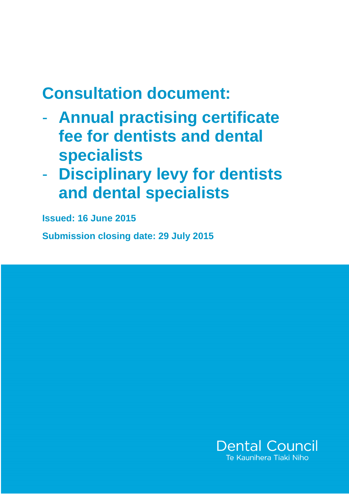# **Consultation document:**

- **Annual practising certificate fee for dentists and dental specialists**
- **Disciplinary levy for dentists and dental specialists**

**Issued: 16 June 2015** 

**Submission closing date: 29 July 2015** 

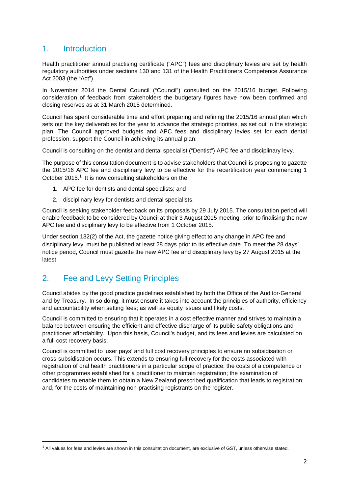## 1. Introduction

Health practitioner annual practising certificate ("APC") fees and disciplinary levies are set by health regulatory authorities under sections 130 and 131 of the Health Practitioners Competence Assurance Act 2003 (the "Act").

In November 2014 the Dental Council ("Council") consulted on the 2015/16 budget. Following consideration of feedback from stakeholders the budgetary figures have now been confirmed and closing reserves as at 31 March 2015 determined.

Council has spent considerable time and effort preparing and refining the 2015/16 annual plan which sets out the key deliverables for the year to advance the strategic priorities, as set out in the strategic plan. The Council approved budgets and APC fees and disciplinary levies set for each dental profession, support the Council in achieving its annual plan.

Council is consulting on the dentist and dental specialist ("Dentist") APC fee and disciplinary levy.

The purpose of this consultation document is to advise stakeholders that Council is proposing to gazette the 2015/16 APC fee and disciplinary levy to be effective for the recertification year commencing 1 October 2015.<sup>1</sup> It is now consulting stakeholders on the:

- 1. APC fee for dentists and dental specialists; and
- 2. disciplinary levy for dentists and dental specialists.

Council is seeking stakeholder feedback on its proposals by 29 July 2015. The consultation period will enable feedback to be considered by Council at their 3 August 2015 meeting, prior to finalising the new APC fee and disciplinary levy to be effective from 1 October 2015.

Under section 132(2) of the Act, the gazette notice giving effect to any change in APC fee and disciplinary levy, must be published at least 28 days prior to its effective date. To meet the 28 days' notice period, Council must gazette the new APC fee and disciplinary levy by 27 August 2015 at the latest.

# 2. Fee and Levy Setting Principles

 $\overline{a}$ 

Council abides by the good practice guidelines established by both the Office of the Auditor-General and by Treasury. In so doing, it must ensure it takes into account the principles of authority, efficiency and accountability when setting fees; as well as equity issues and likely costs.

Council is committed to ensuring that it operates in a cost effective manner and strives to maintain a balance between ensuring the efficient and effective discharge of its public safety obligations and practitioner affordability. Upon this basis, Council's budget, and its fees and levies are calculated on a full cost recovery basis.

Council is committed to 'user pays' and full cost recovery principles to ensure no subsidisation or cross-subsidisation occurs. This extends to ensuring full recovery for the costs associated with registration of oral health practitioners in a particular scope of practice; the costs of a competence or other programmes established for a practitioner to maintain registration; the examination of candidates to enable them to obtain a New Zealand prescribed qualification that leads to registration; and, for the costs of maintaining non-practising registrants on the register.

 $1$  All values for fees and levies are shown in this consultation document, are exclusive of GST, unless otherwise stated.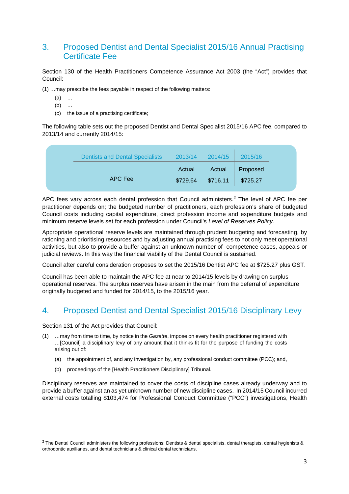## 3. Proposed Dentist and Dental Specialist 2015/16 Annual Practising Certificate Fee

Section 130 of the Health Practitioners Competence Assurance Act 2003 (the "Act") provides that Council:

(1) …may prescribe the fees payable in respect of the following matters:

- (a) …
- (b) …
- (c) the issue of a practising certificate;

The following table sets out the proposed Dentist and Dental Specialist 2015/16 APC fee, compared to 2013/14 and currently 2014/15:

| <b>Dentists and Dental Specialists</b> | 2013/14  | 2014/15  | 2015/16  |
|----------------------------------------|----------|----------|----------|
|                                        | Actual   | Actual   | Proposed |
| APC Fee                                | \$729.64 | \$716.11 | \$725.27 |

APC fees vary across each dental profession that Council administers.<sup>2</sup> The level of APC fee per practitioner depends on; the budgeted number of practitioners, each profession's share of budgeted Council costs including capital expenditure, direct profession income and expenditure budgets and minimum reserve levels set for each profession under Council's Level of Reserves Policy.

Appropriate operational reserve levels are maintained through prudent budgeting and forecasting, by rationing and prioritising resources and by adjusting annual practising fees to not only meet operational activities, but also to provide a buffer against an unknown number of competence cases, appeals or judicial reviews. In this way the financial viability of the Dental Council is sustained.

Council after careful consideration proposes to set the 2015/16 Dentist APC fee at \$725.27 plus GST.

Council has been able to maintain the APC fee at near to 2014/15 levels by drawing on surplus operational reserves. The surplus reserves have arisen in the main from the deferral of expenditure originally budgeted and funded for 2014/15, to the 2015/16 year.

# 4. Proposed Dentist and Dental Specialist 2015/16 Disciplinary Levy

Section 131 of the Act provides that Council:

l

- (1) …may from time to time, by notice in the Gazette, impose on every health practitioner registered with …[Council] a disciplinary levy of any amount that it thinks fit for the purpose of funding the costs arising out of:
	- (a) the appointment of, and any investigation by, any professional conduct committee (PCC); and,
	- (b) proceedings of the [Health Practitioners Disciplinary] Tribunal.

Disciplinary reserves are maintained to cover the costs of discipline cases already underway and to provide a buffer against an as yet unknown number of new discipline cases. In 2014/15 Council incurred external costs totalling \$103,474 for Professional Conduct Committee ("PCC") investigations, Health

<sup>&</sup>lt;sup>2</sup> The Dental Council administers the following professions: Dentists & dental specialists, dental therapists, dental hygienists & orthodontic auxiliaries, and dental technicians & clinical dental technicians.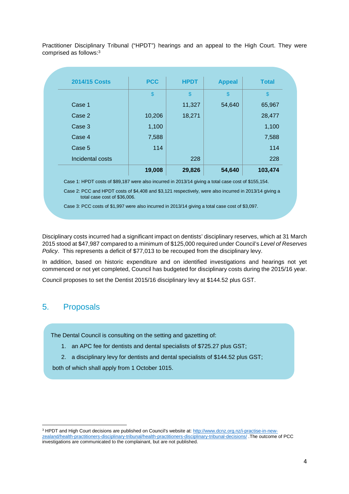Practitioner Disciplinary Tribunal ("HPDT") hearings and an appeal to the High Court. They were comprised as follows:<sup>3</sup>

|                      | 19,008        | 29,826        | 54,640        | 103,474       |
|----------------------|---------------|---------------|---------------|---------------|
| Incidental costs     |               | 228           |               | 228           |
| Case 5               | 114           |               |               | 114           |
| Case 4               | 7,588         |               |               | 7,588         |
| Case 3               | 1,100         |               |               | 1,100         |
| Case 2               | 10,206        | 18,271        |               | 28,477        |
| Case 1               |               | 11,327        | 54,640        | 65,967        |
|                      | $\frac{1}{2}$ | $\frac{1}{2}$ | \$            | $\frac{1}{2}$ |
| <b>2014/15 Costs</b> | <b>PCC</b>    | <b>HPDT</b>   | <b>Appeal</b> | <b>Total</b>  |

Case 1: HPDT costs of \$89,187 were also incurred in 2013/14 giving a total case cost of \$155,154.

Case 2: PCC and HPDT costs of \$4,408 and \$3,121 respectively, were also incurred in 2013/14 giving a total case cost of \$36,006.

Case 3: PCC costs of \$1,997 were also incurred in 2013/14 giving a total case cost of \$3,097.

Disciplinary costs incurred had a significant impact on dentists' disciplinary reserves, which at 31 March 2015 stood at \$47,987 compared to a minimum of \$125,000 required under Council's Level of Reserves Policy. This represents a deficit of \$77,013 to be recouped from the disciplinary levy.

In addition, based on historic expenditure and on identified investigations and hearings not yet commenced or not yet completed, Council has budgeted for disciplinary costs during the 2015/16 year.

Council proposes to set the Dentist 2015/16 disciplinary levy at \$144.52 plus GST.

#### 5. Proposals

l

The Dental Council is consulting on the setting and gazetting of:

- 1. an APC fee for dentists and dental specialists of \$725.27 plus GST;
- 2. a disciplinary levy for dentists and dental specialists of \$144.52 plus GST;

both of which shall apply from 1 October 1015.

<sup>&</sup>lt;sup>3</sup> HPDT and High Court decisions are published on Council's website at: http://www.dcnz.org.nz/i-practise-in-newzealand/health-practitioners-disciplinary-tribunal/health-practitioners-disciplinary-tribunal-decisions/ .The outcome of PCC investigations are communicated to the complainant, but are not published.